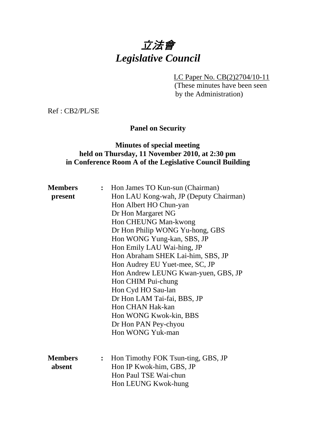# 立法會 *Legislative Council*

LC Paper No. CB(2)2704/10-11

(These minutes have been seen by the Administration)

Ref : CB2/PL/SE

**Panel on Security** 

# **Minutes of special meeting held on Thursday, 11 November 2010, at 2:30 pm in Conference Room A of the Legislative Council Building**

| <b>Members</b> | $\ddot{\cdot}$ | Hon James TO Kun-sun (Chairman)        |  |  |  |
|----------------|----------------|----------------------------------------|--|--|--|
| present        |                | Hon LAU Kong-wah, JP (Deputy Chairman) |  |  |  |
|                |                | Hon Albert HO Chun-yan                 |  |  |  |
|                |                | Dr Hon Margaret NG                     |  |  |  |
|                |                | Hon CHEUNG Man-kwong                   |  |  |  |
|                |                | Dr Hon Philip WONG Yu-hong, GBS        |  |  |  |
|                |                | Hon WONG Yung-kan, SBS, JP             |  |  |  |
|                |                | Hon Emily LAU Wai-hing, JP             |  |  |  |
|                |                | Hon Abraham SHEK Lai-him, SBS, JP      |  |  |  |
|                |                | Hon Audrey EU Yuet-mee, SC, JP         |  |  |  |
|                |                | Hon Andrew LEUNG Kwan-yuen, GBS, JP    |  |  |  |
|                |                | Hon CHIM Pui-chung                     |  |  |  |
|                |                | Hon Cyd HO Sau-lan                     |  |  |  |
|                |                | Dr Hon LAM Tai-fai, BBS, JP            |  |  |  |
|                |                | Hon CHAN Hak-kan                       |  |  |  |
|                |                | Hon WONG Kwok-kin, BBS                 |  |  |  |
|                |                | Dr Hon PAN Pey-chyou                   |  |  |  |
|                |                | Hon WONG Yuk-man                       |  |  |  |
|                |                |                                        |  |  |  |
|                |                |                                        |  |  |  |
| <b>Members</b> | $\ddot{\cdot}$ | Hon Timothy FOK Tsun-ting, GBS, JP     |  |  |  |
| absent         |                | Hon IP Kwok-him, GBS, JP               |  |  |  |
|                |                | Hon Paul TSE Wai-chun                  |  |  |  |
|                |                | Hon LEUNG Kwok-hung                    |  |  |  |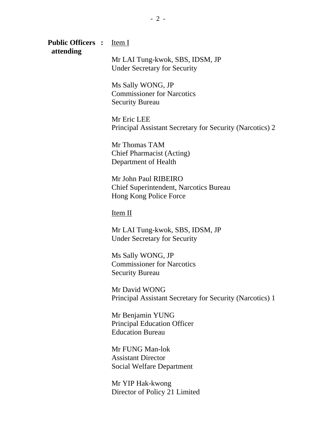#### **Public Officers :** Item I  **attending**

Mr LAI Tung-kwok, SBS, IDSM, JP Under Secretary for Security

Ms Sally WONG, JP Commissioner for Narcotics Security Bureau

Mr Eric LEE Principal Assistant Secretary for Security (Narcotics) 2

Mr Thomas TAM Chief Pharmacist (Acting) Department of Health

Mr John Paul RIBEIRO Chief Superintendent, Narcotics Bureau Hong Kong Police Force

Item II

Mr LAI Tung-kwok, SBS, IDSM, JP Under Secretary for Security

Ms Sally WONG, JP Commissioner for Narcotics Security Bureau

Mr David WONG Principal Assistant Secretary for Security (Narcotics) 1

Mr Benjamin YUNG Principal Education Officer Education Bureau

Mr FUNG Man-lok Assistant Director Social Welfare Department

Mr YIP Hak-kwong Director of Policy 21 Limited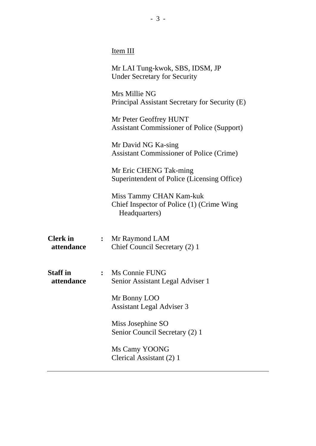|                               |                | Item III                                                                              |  |
|-------------------------------|----------------|---------------------------------------------------------------------------------------|--|
|                               |                | Mr LAI Tung-kwok, SBS, IDSM, JP<br><b>Under Secretary for Security</b>                |  |
|                               |                | Mrs Millie NG<br>Principal Assistant Secretary for Security (E)                       |  |
|                               |                | Mr Peter Geoffrey HUNT<br><b>Assistant Commissioner of Police (Support)</b>           |  |
|                               |                | Mr David NG Ka-sing<br><b>Assistant Commissioner of Police (Crime)</b>                |  |
|                               |                | Mr Eric CHENG Tak-ming<br>Superintendent of Police (Licensing Office)                 |  |
|                               |                | Miss Tammy CHAN Kam-kuk<br>Chief Inspector of Police (1) (Crime Wing<br>Headquarters) |  |
| <b>Clerk</b> in<br>attendance | $\ddot{\cdot}$ | Mr Raymond LAM<br>Chief Council Secretary (2) 1                                       |  |
| <b>Staff</b> in<br>attendance |                | Ms Connie FUNG<br>Senior Assistant Legal Adviser 1                                    |  |
|                               |                | Mr Bonny LOO<br><b>Assistant Legal Adviser 3</b>                                      |  |
|                               |                | Miss Josephine SO<br>Senior Council Secretary (2) 1                                   |  |
|                               |                | Ms Camy YOONG<br>Clerical Assistant (2) 1                                             |  |
|                               |                |                                                                                       |  |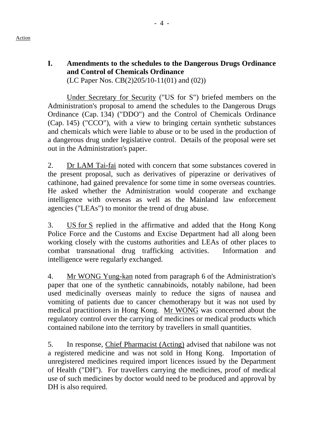### **I. Amendments to the schedules to the Dangerous Drugs Ordinance and Control of Chemicals Ordinance**  (LC Paper Nos. CB(2)205/10-11(01) and (02))

1. Under Secretary for Security ("US for S") briefed members on the Administration's proposal to amend the schedules to the Dangerous Drugs Ordinance (Cap. 134) ("DDO") and the Control of Chemicals Ordinance (Cap. 145) ("CCO"), with a view to bringing certain synthetic substances and chemicals which were liable to abuse or to be used in the production of a dangerous drug under legislative control. Details of the proposal were set out in the Administration's paper.

2. Dr LAM Tai-fai noted with concern that some substances covered in the present proposal, such as derivatives of piperazine or derivatives of cathinone, had gained prevalence for some time in some overseas countries. He asked whether the Administration would cooperate and exchange intelligence with overseas as well as the Mainland law enforcement agencies ("LEAs") to monitor the trend of drug abuse.

3. US for S replied in the affirmative and added that the Hong Kong Police Force and the Customs and Excise Department had all along been working closely with the customs authorities and LEAs of other places to combat transnational drug trafficking activities. Information and intelligence were regularly exchanged.

4. Mr WONG Yung-kan noted from paragraph 6 of the Administration's paper that one of the synthetic cannabinoids, notably nabilone, had been used medicinally overseas mainly to reduce the signs of nausea and vomiting of patients due to cancer chemotherapy but it was not used by medical practitioners in Hong Kong. Mr WONG was concerned about the regulatory control over the carrying of medicines or medical products which contained nabilone into the territory by travellers in small quantities.

5. In response, Chief Pharmacist (Acting) advised that nabilone was not a registered medicine and was not sold in Hong Kong. Importation of unregistered medicines required import licences issued by the Department of Health ("DH"). For travellers carrying the medicines, proof of medical use of such medicines by doctor would need to be produced and approval by DH is also required.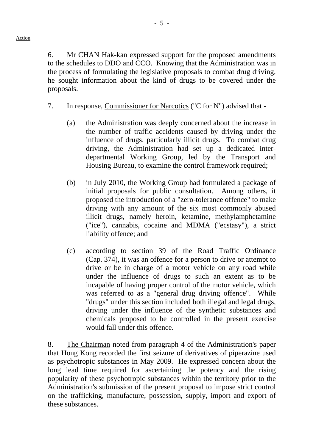6. Mr CHAN Hak-kan expressed support for the proposed amendments to the schedules to DDO and CCO. Knowing that the Administration was in the process of formulating the legislative proposals to combat drug driving, he sought information about the kind of drugs to be covered under the proposals.

- 7. In response, Commissioner for Narcotics ("C for N") advised that
	- (a) the Administration was deeply concerned about the increase in the number of traffic accidents caused by driving under the influence of drugs, particularly illicit drugs. To combat drug driving, the Administration had set up a dedicated interdepartmental Working Group, led by the Transport and Housing Bureau, to examine the control framework required;
	- (b) in July 2010, the Working Group had formulated a package of initial proposals for public consultation. Among others, it proposed the introduction of a "zero-tolerance offence" to make driving with any amount of the six most commonly abused illicit drugs, namely heroin, ketamine, methylamphetamine ("ice"), cannabis, cocaine and MDMA ("ecstasy"), a strict liability offence; and
	- (c) according to section 39 of the Road Traffic Ordinance (Cap. 374), it was an offence for a person to drive or attempt to drive or be in charge of a motor vehicle on any road while under the influence of drugs to such an extent as to be incapable of having proper control of the motor vehicle, which was referred to as a "general drug driving offence". While "drugs" under this section included both illegal and legal drugs, driving under the influence of the synthetic substances and chemicals proposed to be controlled in the present exercise would fall under this offence.

8. The Chairman noted from paragraph 4 of the Administration's paper that Hong Kong recorded the first seizure of derivatives of piperazine used as psychotropic substances in May 2009. He expressed concern about the long lead time required for ascertaining the potency and the rising popularity of these psychotropic substances within the territory prior to the Administration's submission of the present proposal to impose strict control on the trafficking, manufacture, possession, supply, import and export of these substances.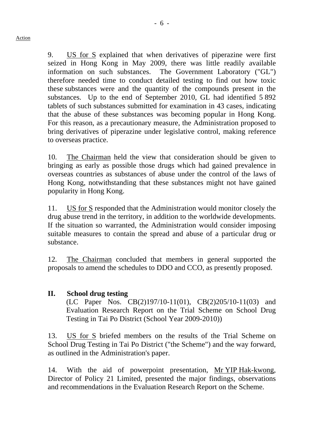9. US for S explained that when derivatives of piperazine were first seized in Hong Kong in May 2009, there was little readily available information on such substances. The Government Laboratory ("GL") therefore needed time to conduct detailed testing to find out how toxic these substances were and the quantity of the compounds present in the substances. Up to the end of September 2010, GL had identified 5 892 tablets of such substances submitted for examination in 43 cases, indicating that the abuse of these substances was becoming popular in Hong Kong. For this reason, as a precautionary measure, the Administration proposed to bring derivatives of piperazine under legislative control, making reference to overseas practice.

10. The Chairman held the view that consideration should be given to bringing as early as possible those drugs which had gained prevalence in overseas countries as substances of abuse under the control of the laws of Hong Kong, notwithstanding that these substances might not have gained popularity in Hong Kong.

11. US for S responded that the Administration would monitor closely the drug abuse trend in the territory, in addition to the worldwide developments. If the situation so warranted, the Administration would consider imposing suitable measures to contain the spread and abuse of a particular drug or substance.

12. The Chairman concluded that members in general supported the proposals to amend the schedules to DDO and CCO, as presently proposed.

# **II. School drug testing**

(LC Paper Nos. CB(2)197/10-11(01), CB(2)205/10-11(03) and Evaluation Research Report on the Trial Scheme on School Drug Testing in Tai Po District (School Year 2009-2010))

13. US for S briefed members on the results of the Trial Scheme on School Drug Testing in Tai Po District ("the Scheme") and the way forward, as outlined in the Administration's paper.

14. With the aid of powerpoint presentation, Mr YIP Hak-kwong, Director of Policy 21 Limited, presented the major findings, observations and recommendations in the Evaluation Research Report on the Scheme.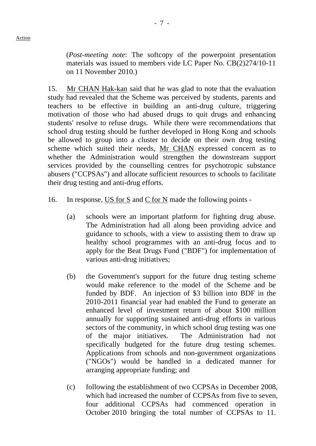(*Post-meeting note*: The softcopy of the powerpoint presentation materials was issued to members vide LC Paper No. CB(2)274/10-11 on 11 November 2010.)

15. Mr CHAN Hak-kan said that he was glad to note that the evaluation study had revealed that the Scheme was perceived by students, parents and teachers to be effective in building an anti-drug culture, triggering motivation of those who had abused drugs to quit drugs and enhancing students' resolve to refuse drugs. While there were recommendations that school drug testing should be further developed in Hong Kong and schools be allowed to group into a cluster to decide on their own drug testing scheme which suited their needs, Mr CHAN expressed concern as to whether the Administration would strengthen the downstream support services provided by the counselling centres for psychotropic substance abusers ("CCPSAs") and allocate sufficient resources to schools to facilitate their drug testing and anti-drug efforts.

- 16. In response, US for S and C for N made the following points
	- (a) schools were an important platform for fighting drug abuse. The Administration had all along been providing advice and guidance to schools, with a view to assisting them to draw up healthy school programmes with an anti-drug focus and to apply for the Beat Drugs Fund ("BDF") for implementation of various anti-drug initiatives;
	- (b) the Government's support for the future drug testing scheme would make reference to the model of the Scheme and be funded by BDF. An injection of \$3 billion into BDF in the 2010-2011 financial year had enabled the Fund to generate an enhanced level of investment return of about \$100 million annually for supporting sustained anti-drug efforts in various sectors of the community, in which school drug testing was one of the major initiatives. The Administration had not specifically budgeted for the future drug testing schemes. Applications from schools and non-government organizations ("NGOs") would be handled in a dedicated manner for arranging appropriate funding; and
	- (c) following the establishment of two CCPSAs in December 2008, which had increased the number of CCPSAs from five to seven, four additional CCPSAs had commenced operation in October 2010 bringing the total number of CCPSAs to 11.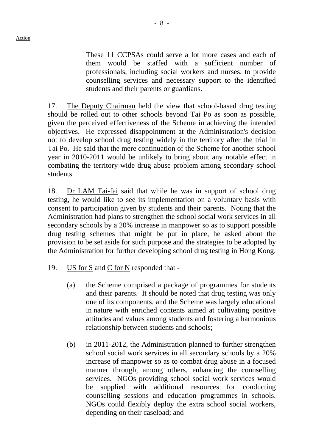These 11 CCPSAs could serve a lot more cases and each of them would be staffed with a sufficient number of professionals, including social workers and nurses, to provide counselling services and necessary support to the identified students and their parents or guardians.

17. The Deputy Chairman held the view that school-based drug testing should be rolled out to other schools beyond Tai Po as soon as possible, given the perceived effectiveness of the Scheme in achieving the intended objectives. He expressed disappointment at the Administration's decision not to develop school drug testing widely in the territory after the trial in Tai Po. He said that the mere continuation of the Scheme for another school year in 2010-2011 would be unlikely to bring about any notable effect in combating the territory-wide drug abuse problem among secondary school students.

18. Dr LAM Tai-fai said that while he was in support of school drug testing, he would like to see its implementation on a voluntary basis with consent to participation given by students and their parents. Noting that the Administration had plans to strengthen the school social work services in all secondary schools by a 20% increase in manpower so as to support possible drug testing schemes that might be put in place, he asked about the provision to be set aside for such purpose and the strategies to be adopted by the Administration for further developing school drug testing in Hong Kong.

- 19. US for S and C for N responded that
	- (a) the Scheme comprised a package of programmes for students and their parents. It should be noted that drug testing was only one of its components, and the Scheme was largely educational in nature with enriched contents aimed at cultivating positive attitudes and values among students and fostering a harmonious relationship between students and schools;
	- (b) in 2011-2012, the Administration planned to further strengthen school social work services in all secondary schools by a 20% increase of manpower so as to combat drug abuse in a focused manner through, among others, enhancing the counselling services. NGOs providing school social work services would be supplied with additional resources for conducting counselling sessions and education programmes in schools. NGOs could flexibly deploy the extra school social workers, depending on their caseload; and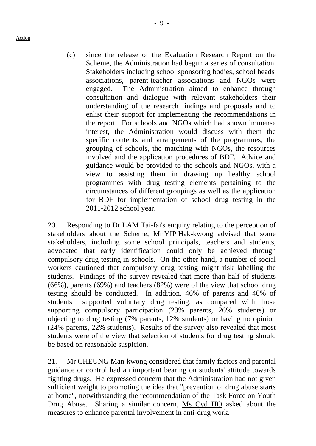Action

(c) since the release of the Evaluation Research Report on the Scheme, the Administration had begun a series of consultation. Stakeholders including school sponsoring bodies, school heads' associations, parent-teacher associations and NGOs were engaged. The Administration aimed to enhance through consultation and dialogue with relevant stakeholders their understanding of the research findings and proposals and to enlist their support for implementing the recommendations in the report. For schools and NGOs which had shown immense interest, the Administration would discuss with them the specific contents and arrangements of the programmes, the grouping of schools, the matching with NGOs, the resources involved and the application procedures of BDF. Advice and guidance would be provided to the schools and NGOs, with a view to assisting them in drawing up healthy school programmes with drug testing elements pertaining to the

circumstances of different groupings as well as the application for BDF for implementation of school drug testing in the

20. Responding to Dr LAM Tai-fai's enquiry relating to the perception of stakeholders about the Scheme, Mr YIP Hak-kwong advised that some stakeholders, including some school principals, teachers and students, advocated that early identification could only be achieved through compulsory drug testing in schools. On the other hand, a number of social workers cautioned that compulsory drug testing might risk labelling the students. Findings of the survey revealed that more than half of students (66%), parents (69%) and teachers (82%) were of the view that school drug testing should be conducted. In addition, 46% of parents and 40% of students supported voluntary drug testing, as compared with those supporting compulsory participation (23% parents, 26% students) or objecting to drug testing (7% parents, 12% students) or having no opinion (24% parents, 22% students). Results of the survey also revealed that most students were of the view that selection of students for drug testing should be based on reasonable suspicion.

2011-2012 school year.

21. Mr CHEUNG Man-kwong considered that family factors and parental guidance or control had an important bearing on students' attitude towards fighting drugs. He expressed concern that the Administration had not given sufficient weight to promoting the idea that "prevention of drug abuse starts at home", notwithstanding the recommendation of the Task Force on Youth Drug Abuse. Sharing a similar concern, Ms Cyd HO asked about the measures to enhance parental involvement in anti-drug work.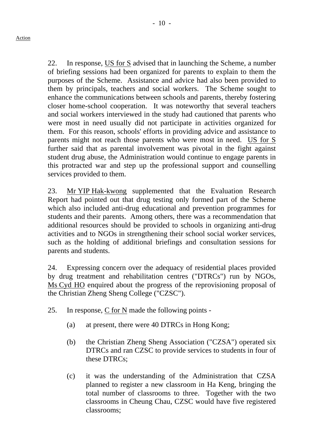22. In response, US for S advised that in launching the Scheme, a number of briefing sessions had been organized for parents to explain to them the purposes of the Scheme. Assistance and advice had also been provided to them by principals, teachers and social workers. The Scheme sought to enhance the communications between schools and parents, thereby fostering closer home-school cooperation. It was noteworthy that several teachers and social workers interviewed in the study had cautioned that parents who were most in need usually did not participate in activities organized for them. For this reason, schools' efforts in providing advice and assistance to parents might not reach those parents who were most in need. US for S further said that as parental involvement was pivotal in the fight against student drug abuse, the Administration would continue to engage parents in this protracted war and step up the professional support and counselling services provided to them.

23. Mr YIP Hak-kwong supplemented that the Evaluation Research Report had pointed out that drug testing only formed part of the Scheme which also included anti-drug educational and prevention programmes for students and their parents. Among others, there was a recommendation that additional resources should be provided to schools in organizing anti-drug activities and to NGOs in strengthening their school social worker services, such as the holding of additional briefings and consultation sessions for parents and students.

24. Expressing concern over the adequacy of residential places provided by drug treatment and rehabilitation centres ("DTRCs") run by NGOs, Ms Cyd HO enquired about the progress of the reprovisioning proposal of the Christian Zheng Sheng College ("CZSC").

- 25. In response, C for N made the following points
	- (a) at present, there were 40 DTRCs in Hong Kong;
	- (b) the Christian Zheng Sheng Association ("CZSA") operated six DTRCs and ran CZSC to provide services to students in four of these DTRCs;
	- (c) it was the understanding of the Administration that CZSA planned to register a new classroom in Ha Keng, bringing the total number of classrooms to three. Together with the two classrooms in Cheung Chau, CZSC would have five registered classrooms;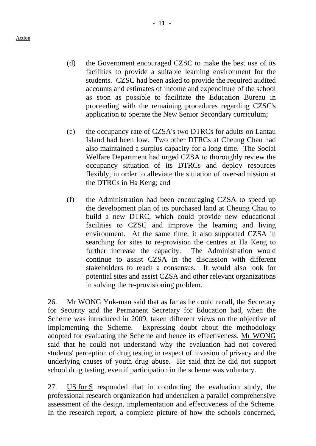- (d) the Government encouraged CZSC to make the best use of its facilities to provide a suitable learning environment for the students. CZSC had been asked to provide the required audited accounts and estimates of income and expenditure of the school as soon as possible to facilitate the Education Bureau in proceeding with the remaining procedures regarding CZSC's application to operate the New Senior Secondary curriculum;
- (e) the occupancy rate of CZSA's two DTRCs for adults on Lantau Island had been low. Two other DTRCs at Cheung Chau had also maintained a surplus capacity for a long time. The Social Welfare Department had urged CZSA to thoroughly review the occupancy situation of its DTRCs and deploy resources flexibly, in order to alleviate the situation of over-admission at the DTRCs in Ha Keng; and
- (f) the Administration had been encouraging CZSA to speed up the development plan of its purchased land at Cheung Chau to build a new DTRC, which could provide new educational facilities to CZSC and improve the learning and living environment. At the same time, it also supported CZSA in searching for sites to re-provision the centres at Ha Keng to further increase the capacity. The Administration would continue to assist CZSA in the discussion with different stakeholders to reach a consensus. It would also look for potential sites and assist CZSA and other relevant organizations in solving the re-provisioning problem.

26. Mr WONG Yuk-man said that as far as he could recall, the Secretary for Security and the Permanent Secretary for Education had, when the Scheme was introduced in 2009, taken different views on the objective of implementing the Scheme. Expressing doubt about the methodology adopted for evaluating the Scheme and hence its effectiveness, Mr WONG said that he could not understand why the evaluation had not covered students' perception of drug testing in respect of invasion of privacy and the underlying causes of youth drug abuse. He said that he did not support school drug testing, even if participation in the scheme was voluntary.

27. US for S responded that in conducting the evaluation study, the professional research organization had undertaken a parallel comprehensive assessment of the design, implementation and effectiveness of the Scheme. In the research report, a complete picture of how the schools concerned,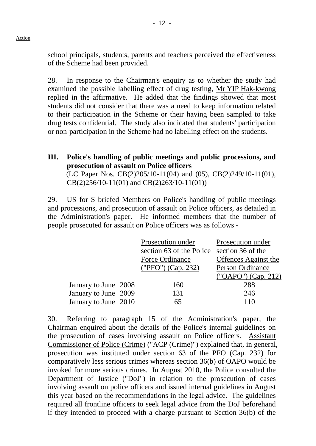Action

school principals, students, parents and teachers perceived the effectiveness of the Scheme had been provided.

28. In response to the Chairman's enquiry as to whether the study had examined the possible labelling effect of drug testing, Mr YIP Hak-kwong replied in the affirmative. He added that the findings showed that most students did not consider that there was a need to keep information related to their participation in the Scheme or their having been sampled to take drug tests confidential. The study also indicated that students' participation or non-participation in the Scheme had no labelling effect on the students.

### **III. Police's handling of public meetings and public processions, and prosecution of assault on Police officers**  (LC Paper Nos. CB(2)205/10-11(04) and (05), CB(2)249/10-11(01), CB(2)256/10-11(01) and CB(2)263/10-11(01))

29. US for S briefed Members on Police's handling of public meetings and processions, and prosecution of assault on Police officers, as detailed in the Administration's paper. He informed members that the number of people prosecuted for assault on Police officers was as follows -

|                      | Prosecution under        | Prosecution under           |
|----------------------|--------------------------|-----------------------------|
|                      | section 63 of the Police | section 36 of the           |
|                      | Force Ordinance          | <b>Offences</b> Against the |
|                      | ("PFO") (Cap. 232)       | Person Ordinance            |
|                      |                          | ("OAPO") (Cap. 212)         |
| January to June 2008 | 160                      | 288                         |
| January to June 2009 | 131                      | 246                         |
| January to June 2010 | 65                       | 110                         |

30. Referring to paragraph 15 of the Administration's paper, the Chairman enquired about the details of the Police's internal guidelines on the prosecution of cases involving assault on Police officers. Assistant Commissioner of Police (Crime) ("ACP (Crime)") explained that, in general, prosecution was instituted under section 63 of the PFO (Cap. 232) for comparatively less serious crimes whereas section 36(b) of OAPO would be invoked for more serious crimes. In August 2010, the Police consulted the Department of Justice ("DoJ") in relation to the prosecution of cases involving assault on police officers and issued internal guidelines in August this year based on the recommendations in the legal advice. The guidelines required all frontline officers to seek legal advice from the DoJ beforehand if they intended to proceed with a charge pursuant to Section 36(b) of the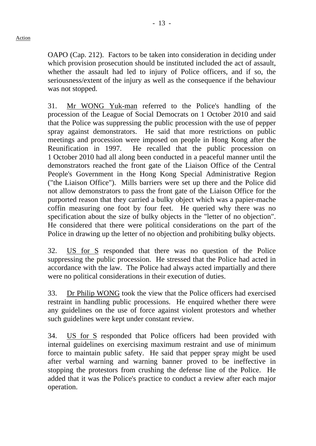OAPO (Cap. 212). Factors to be taken into consideration in deciding under which provision prosecution should be instituted included the act of assault, whether the assault had led to injury of Police officers, and if so, the seriousness/extent of the injury as well as the consequence if the behaviour was not stopped.

31. Mr WONG Yuk-man referred to the Police's handling of the procession of the League of Social Democrats on 1 October 2010 and said that the Police was suppressing the public procession with the use of pepper spray against demonstrators. He said that more restrictions on public meetings and procession were imposed on people in Hong Kong after the Reunification in 1997. He recalled that the public procession on 1 October 2010 had all along been conducted in a peaceful manner until the demonstrators reached the front gate of the Liaison Office of the Central People's Government in the Hong Kong Special Administrative Region ("the Liaison Office"). Mills barriers were set up there and the Police did not allow demonstrators to pass the front gate of the Liaison Office for the purported reason that they carried a bulky object which was a papier-mache coffin measuring one foot by four feet. He queried why there was no specification about the size of bulky objects in the "letter of no objection". He considered that there were political considerations on the part of the Police in drawing up the letter of no objection and prohibiting bulky objects.

32. US for S responded that there was no question of the Police suppressing the public procession. He stressed that the Police had acted in accordance with the law. The Police had always acted impartially and there were no political considerations in their execution of duties.

33. Dr Philip WONG took the view that the Police officers had exercised restraint in handling public processions. He enquired whether there were any guidelines on the use of force against violent protestors and whether such guidelines were kept under constant review.

34. US for S responded that Police officers had been provided with internal guidelines on exercising maximum restraint and use of minimum force to maintain public safety. He said that pepper spray might be used after verbal warning and warning banner proved to be ineffective in stopping the protestors from crushing the defense line of the Police. He added that it was the Police's practice to conduct a review after each major operation.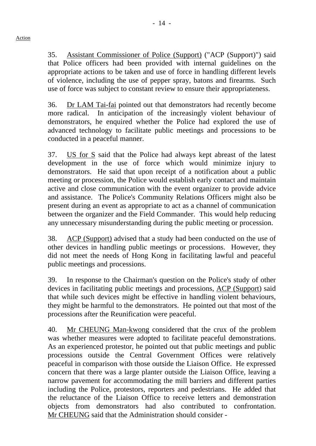35. Assistant Commissioner of Police (Support) ("ACP (Support)") said that Police officers had been provided with internal guidelines on the appropriate actions to be taken and use of force in handling different levels of violence, including the use of pepper spray, batons and firearms. Such use of force was subject to constant review to ensure their appropriateness.

36. Dr LAM Tai-fai pointed out that demonstrators had recently become more radical. In anticipation of the increasingly violent behaviour of demonstrators, he enquired whether the Police had explored the use of advanced technology to facilitate public meetings and processions to be conducted in a peaceful manner.

37. US for S said that the Police had always kept abreast of the latest development in the use of force which would minimize injury to demonstrators. He said that upon receipt of a notification about a public meeting or procession, the Police would establish early contact and maintain active and close communication with the event organizer to provide advice and assistance. The Police's Community Relations Officers might also be present during an event as appropriate to act as a channel of communication between the organizer and the Field Commander. This would help reducing any unnecessary misunderstanding during the public meeting or procession.

38. ACP (Support) advised that a study had been conducted on the use of other devices in handling public meetings or processions. However, they did not meet the needs of Hong Kong in facilitating lawful and peaceful public meetings and processions.

39. In response to the Chairman's question on the Police's study of other devices in facilitating public meetings and processions, ACP (Support) said that while such devices might be effective in handling violent behaviours, they might be harmful to the demonstrators. He pointed out that most of the processions after the Reunification were peaceful.

40. Mr CHEUNG Man-kwong considered that the crux of the problem was whether measures were adopted to facilitate peaceful demonstrations. As an experienced protestor, he pointed out that public meetings and public processions outside the Central Government Offices were relatively peaceful in comparison with those outside the Liaison Office. He expressed concern that there was a large planter outside the Liaison Office, leaving a narrow pavement for accommodating the mill barriers and different parties including the Police, protestors, reporters and pedestrians. He added that the reluctance of the Liaison Office to receive letters and demonstration objects from demonstrators had also contributed to confrontation. Mr CHEUNG said that the Administration should consider -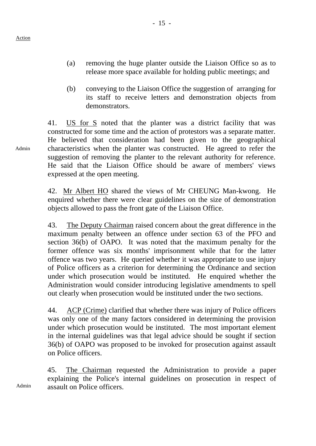(a) removing the huge planter outside the Liaison Office so as to release more space available for holding public meetings; and

- 15 -

(b) conveying to the Liaison Office the suggestion of arranging for its staff to receive letters and demonstration objects from demonstrators.

41. US for S noted that the planter was a district facility that was constructed for some time and the action of protestors was a separate matter. He believed that consideration had been given to the geographical characteristics when the planter was constructed. He agreed to refer the suggestion of removing the planter to the relevant authority for reference. He said that the Liaison Office should be aware of members' views expressed at the open meeting.

42. Mr Albert HO shared the views of Mr CHEUNG Man-kwong. He enquired whether there were clear guidelines on the size of demonstration objects allowed to pass the front gate of the Liaison Office.

43. The Deputy Chairman raised concern about the great difference in the maximum penalty between an offence under section 63 of the PFO and section 36(b) of OAPO. It was noted that the maximum penalty for the former offence was six months' imprisonment while that for the latter offence was two years. He queried whether it was appropriate to use injury of Police officers as a criterion for determining the Ordinance and section under which prosecution would be instituted. He enquired whether the Administration would consider introducing legislative amendments to spell out clearly when prosecution would be instituted under the two sections.

44. ACP (Crime) clarified that whether there was injury of Police officers was only one of the many factors considered in determining the provision under which prosecution would be instituted. The most important element in the internal guidelines was that legal advice should be sought if section 36(b) of OAPO was proposed to be invoked for prosecution against assault on Police officers.

Admin 45. The Chairman requested the Administration to provide a paper explaining the Police's internal guidelines on prosecution in respect of assault on Police officers.

Admin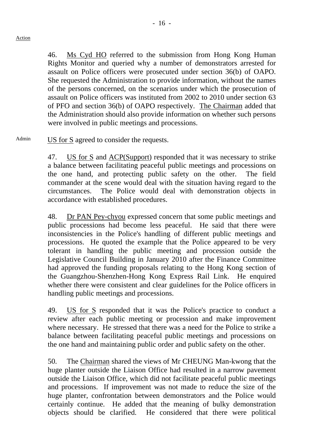#### Action

46. Ms Cyd HO referred to the submission from Hong Kong Human Rights Monitor and queried why a number of demonstrators arrested for assault on Police officers were prosecuted under section 36(b) of OAPO. She requested the Administration to provide information, without the names of the persons concerned, on the scenarios under which the prosecution of assault on Police officers was instituted from 2002 to 2010 under section 63 of PFO and section 36(b) of OAPO respectively. The Chairman added that the Administration should also provide information on whether such persons were involved in public meetings and processions.

# $A<sup>dnin</sup>$  US for S agreed to consider the requests.

47. US for S and ACP(Support) responded that it was necessary to strike a balance between facilitating peaceful public meetings and processions on the one hand, and protecting public safety on the other. The field commander at the scene would deal with the situation having regard to the circumstances. The Police would deal with demonstration objects in accordance with established procedures.

48. Dr PAN Pey-chyou expressed concern that some public meetings and public processions had become less peaceful. He said that there were inconsistencies in the Police's handling of different public meetings and processions. He quoted the example that the Police appeared to be very tolerant in handling the public meeting and procession outside the Legislative Council Building in January 2010 after the Finance Committee had approved the funding proposals relating to the Hong Kong section of the Guangzhou-Shenzhen-Hong Kong Express Rail Link. He enquired whether there were consistent and clear guidelines for the Police officers in handling public meetings and processions.

49. US for S responded that it was the Police's practice to conduct a review after each public meeting or procession and make improvement where necessary. He stressed that there was a need for the Police to strike a balance between facilitating peaceful public meetings and processions on the one hand and maintaining public order and public safety on the other.

50. The Chairman shared the views of Mr CHEUNG Man-kwong that the huge planter outside the Liaison Office had resulted in a narrow pavement outside the Liaison Office, which did not facilitate peaceful public meetings and processions. If improvement was not made to reduce the size of the huge planter, confrontation between demonstrators and the Police would certainly continue. He added that the meaning of bulky demonstration objects should be clarified. He considered that there were political